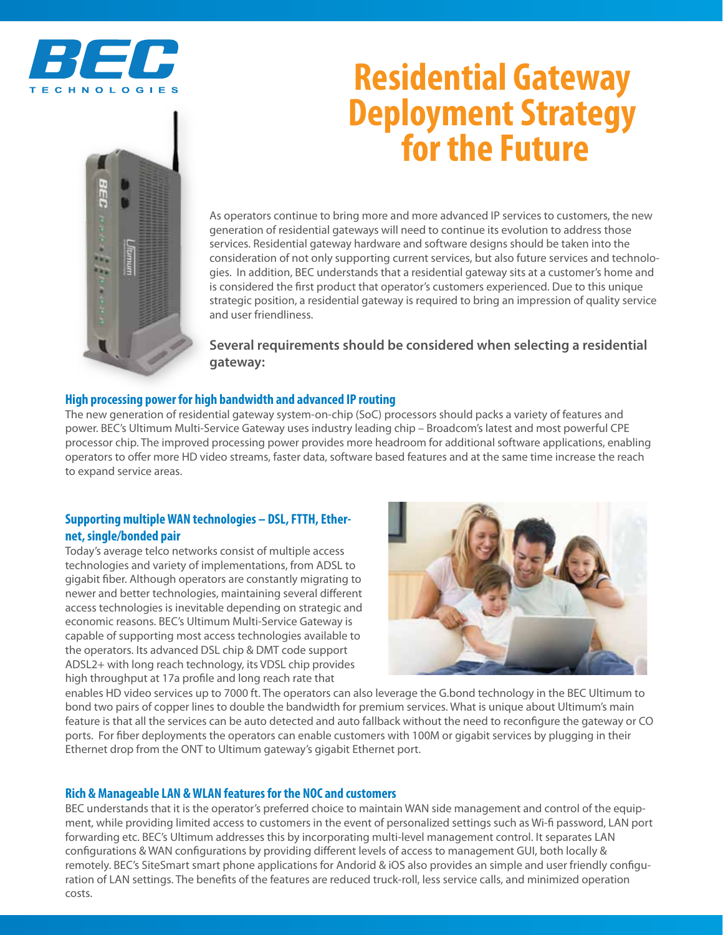



# **Residential Gateway Deployment Strategy<br>for the Future**

As operators continue to bring more and more advanced IP services to customers, the new generation of residential gateways will need to continue its evolution to address those services. Residential gateway hardware and software designs should be taken into the consideration of not only supporting current services, but also future services and technologies. In addition, BEC understands that a residential gateway sits at a customer's home and is considered the first product that operator's customers experienced. Due to this unique strategic position, a residential gateway is required to bring an impression of quality service and user friendliness.

**Several requirements should be considered when selecting a residential gateway:**

## **High processing power for high bandwidth and advanced IP routing**

The new generation of residential gateway system-on-chip (SoC) processors should packs a variety of features and power. BEC's Ultimum Multi-Service Gateway uses industry leading chip – Broadcom's latest and most powerful CPE processor chip. The improved processing power provides more headroom for additional software applications, enabling operators to offer more HD video streams, faster data, software based features and at the same time increase the reach to expand service areas.

## **Supporting multiple WAN technologies – DSL, FTTH, Ethernet, single/bonded pair**

Today's average telco networks consist of multiple access technologies and variety of implementations, from ADSL to gigabit fiber. Although operators are constantly migrating to newer and better technologies, maintaining several different access technologies is inevitable depending on strategic and economic reasons. BEC's Ultimum Multi-Service Gateway is capable of supporting most access technologies available to the operators. Its advanced DSL chip & DMT code support ADSL2+ with long reach technology, its VDSL chip provides high throughput at 17a profile and long reach rate that



enables HD video services up to 7000 ft. The operators can also leverage the G.bond technology in the BEC Ultimum to bond two pairs of copper lines to double the bandwidth for premium services. What is unique about Ultimum's main feature is that all the services can be auto detected and auto fallback without the need to reconfigure the gateway or CO ports. For fiber deployments the operators can enable customers with 100M or gigabit services by plugging in their Ethernet drop from the ONT to Ultimum gateway's gigabit Ethernet port.

## **Rich & Manageable LAN & WLAN features for the NOC and customers**

BEC understands that it is the operator's preferred choice to maintain WAN side management and control of the equipment, while providing limited access to customers in the event of personalized settings such as Wi-fi password, LAN port forwarding etc. BEC's Ultimum addresses this by incorporating multi-level management control. It separates LAN configurations & WAN configurations by providing different levels of access to management GUI, both locally & remotely. BEC's SiteSmart smart phone applications for Andorid & iOS also provides an simple and user friendly configuration of LAN settings. The benefits of the features are reduced truck-roll, less service calls, and minimized operation costs.